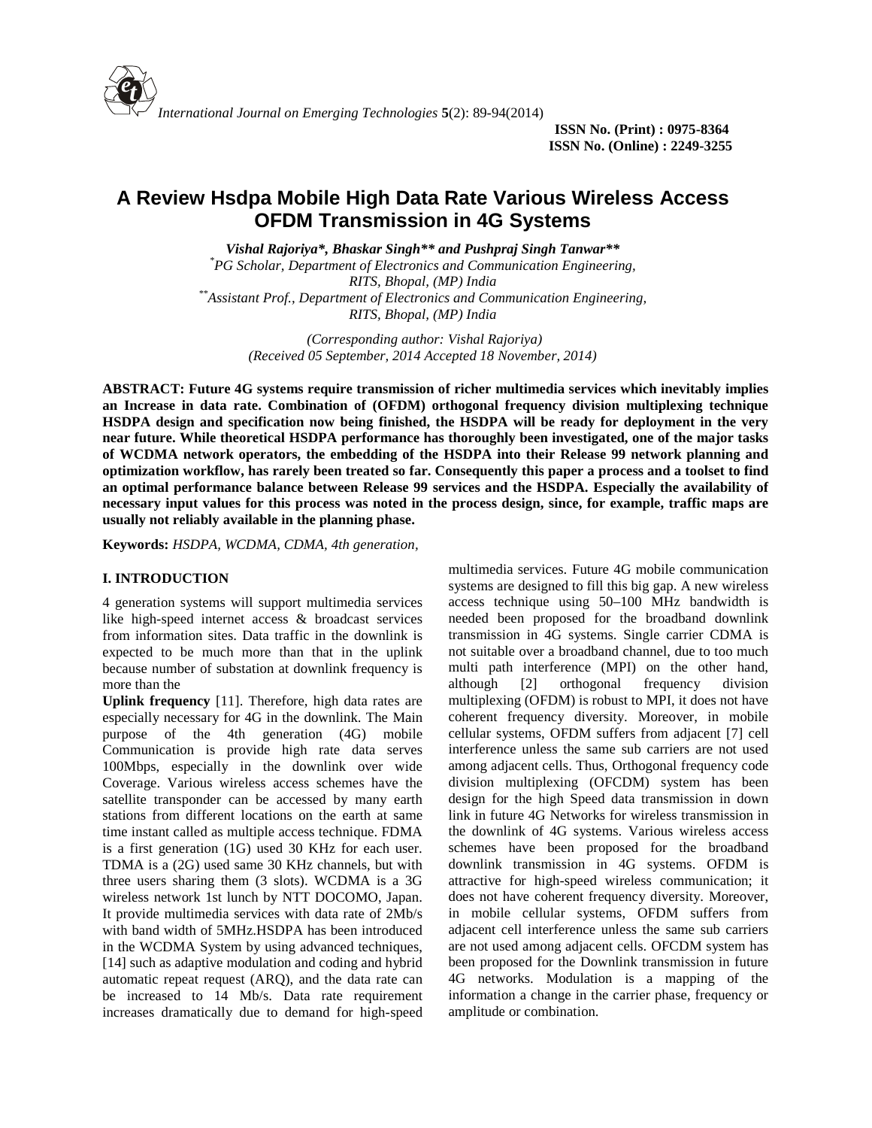

# **A Review Hsdpa Mobile High Data Rate Various Wireless Access OFDM Transmission in 4G Systems**

*Vishal Rajoriya\*, Bhaskar Singh\*\* and Pushpraj Singh Tanwar\*\* \*PG Scholar, Department of Electronics and Communication Engineering, RITS, Bhopal, (MP) India \*\*Assistant Prof., Department of Electronics and Communication Engineering, RITS, Bhopal, (MP) India*

> *(Corresponding author: Vishal Rajoriya) (Received 05 September, 2014 Accepted 18 November, 2014)*

**ABSTRACT: Future 4G systems require transmission of richer multimedia services which inevitably implies an Increase in data rate. Combination of (OFDM) orthogonal frequency division multiplexing technique HSDPA design and specification now being finished, the HSDPA will be ready for deployment in the very near future. While theoretical HSDPA performance has thoroughly been investigated, one of the major tasks of WCDMA network operators, the embedding of the HSDPA into their Release 99 network planning and optimization workflow, has rarely been treated so far. Consequently this paper a process and a toolset to find an optimal performance balance between Release 99 services and the HSDPA. Especially the availability of necessary input values for this process was noted in the process design, since, for example, traffic maps are usually not reliably available in the planning phase.**

**Keywords:** *HSDPA, WCDMA, CDMA, 4th generation,*

# **I. INTRODUCTION**

4 generation systems will support multimedia services like high-speed internet access & broadcast services from information sites. Data traffic in the downlink is expected to be much more than that in the uplink because number of substation at downlink frequency is more than the

**Uplink frequency** [11]. Therefore, high data rates are especially necessary for 4G in the downlink. The Main purpose of the 4th generation (4G) mobile Communication is provide high rate data serves 100Mbps, especially in the downlink over wide Coverage. Various wireless access schemes have the satellite transponder can be accessed by many earth stations from different locations on the earth at same time instant called as multiple access technique. FDMA is a first generation (1G) used 30 KHz for each user. TDMA is a (2G) used same 30 KHz channels, but with three users sharing them (3 slots). WCDMA is a 3G wireless network 1st lunch by NTT DOCOMO, Japan. It provide multimedia services with data rate of 2Mb/s with band width of 5MHz.HSDPA has been introduced in the WCDMA System by using advanced techniques, [14] such as adaptive modulation and coding and hybrid automatic repeat request (ARQ), and the data rate can be increased to 14 Mb/s. Data rate requirement increases dramatically due to demand for high-speed

multimedia services. Future 4G mobile communication systems are designed to fill this big gap. A new wireless access technique using 50–100 MHz bandwidth is needed been proposed for the broadband downlink transmission in 4G systems. Single carrier CDMA is not suitable over a broadband channel, due to too much multi path interference (MPI) on the other hand, although [2] orthogonal frequency division multiplexing (OFDM) is robust to MPI, it does not have coherent frequency diversity. Moreover, in mobile cellular systems, OFDM suffers from adjacent [7] cell interference unless the same sub carriers are not used among adjacent cells. Thus, Orthogonal frequency code division multiplexing (OFCDM) system has been design for the high Speed data transmission in down link in future 4G Networks for wireless transmission in the downlink of 4G systems. Various wireless access schemes have been proposed for the broadband downlink transmission in 4G systems. OFDM is attractive for high-speed wireless communication; it does not have coherent frequency diversity. Moreover, in mobile cellular systems, OFDM suffers from adjacent cell interference unless the same sub carriers are not used among adjacent cells. OFCDM system has been proposed for the Downlink transmission in future 4G networks. Modulation is a mapping of the information a change in the carrier phase, frequency or amplitude or combination.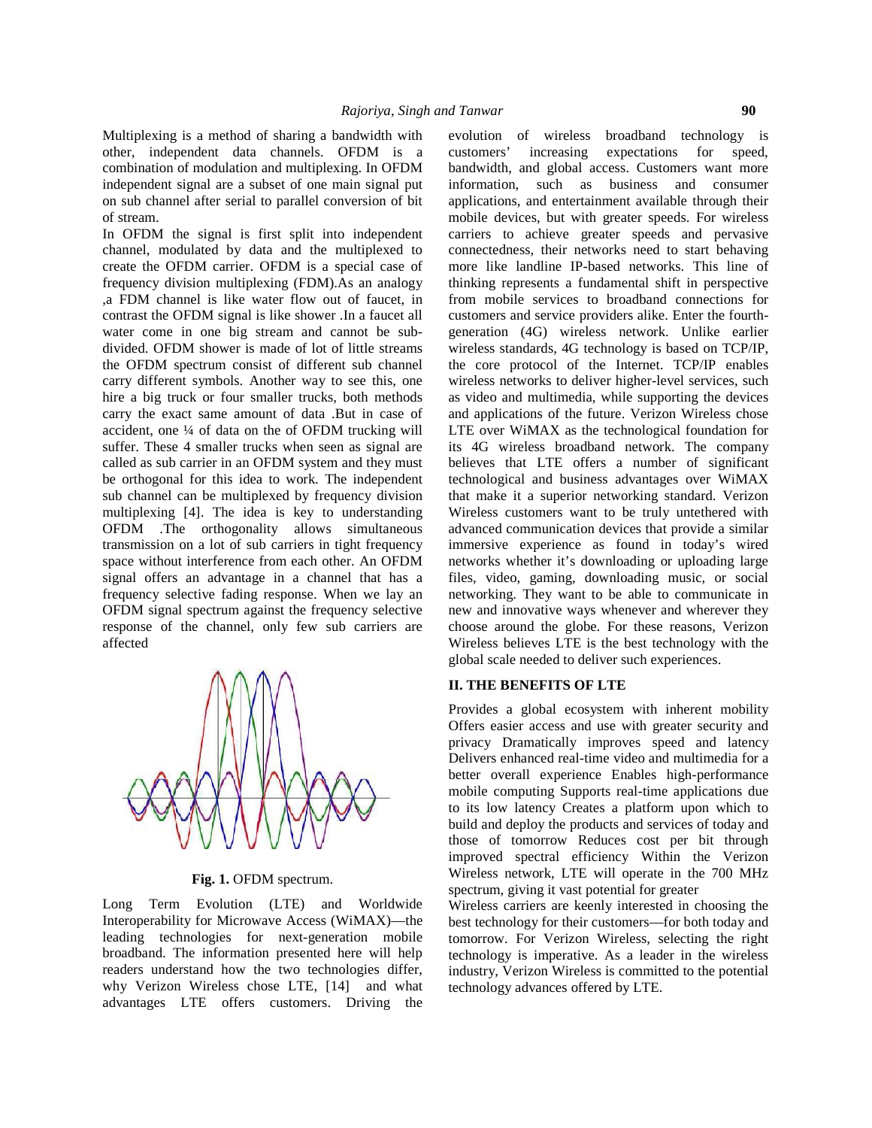Multiplexing is a method of sharing a bandwidth with evolution of wireless other, independent data channels. OFDM is a combination of modulation and multiplexing. In OFDM independent signal are a subset of one main signal put information, on sub channel after serial to parallel conversion of bit of stream.

In OFDM the signal is first split into independent channel, modulated by data and the multiplexed to create the OFDM carrier. OFDM is a special case of frequency division multiplexing (FDM).As an analogy ,a FDM channel is like water flow out of faucet, in contrast the OFDM signal is like shower .In a faucet all water come in one big stream and cannot be sub divided. OFDM shower is made of lot of little streams the OFDM spectrum consist of different sub channel carry different symbols. Another way to see this, one hire a big truck or four smaller trucks, both methods carry the exact same amount of data .But in case of accident, one ¼ of data on the of OFDM trucking will suffer. These 4 smaller trucks when seen as signal are called as sub carrier in an OFDM system and they must be orthogonal for this idea to work. The independent sub channel can be multiplexed by frequency division multiplexing [4]. The idea is key to understanding OFDM .The orthogonality allows simultaneous transmission on a lot of sub carriers in tight frequency space without interference from each other. An OFDM signal offers an advantage in a channel that has a frequency selective fading response. When we lay an OFDM signal spectrum against the frequency selective response of the channel, only few sub carriers are affected



**Fig. 1.** OFDM spectrum.

Long Term Evolution (LTE) and Worldwide Interoperability for Microwave Access (WiMAX)—the leading technologies for next-generation mobile broadband. The information presented here will help readers understand how the two technologies differ, why Verizon Wireless chose LTE, [14] and what advantages LTE offers customers. Driving the

broadband technology is increasing expectations for speed, bandwidth, and global access. Customers want more such as business and consumer applications, and entertainment available through their mobile devices, but with greater speeds. For wireless carriers to achieve greater speeds and pervasive connectedness, their networks need to start behaving more like landline IP-based networks. This line of thinking represents a fundamental shift in perspective from mobile services to broadband connections for customers and service providers alike. Enter the fourth generation (4G) wireless network. Unlike earlier wireless standards, 4G technology is based on TCP/IP, the core protocol of the Internet. TCP/IP enables wireless networks to deliver higher-level services, such as video and multimedia, while supporting the devices and applications of the future. Verizon Wireless chose LTE over WiMAX as the technological foundation for its 4G wireless broadband network. The company believes that LTE offers a number of significant technological and business advantages over WiMAX that make it a superior networking standard. Verizon Wireless customers want to be truly untethered with advanced communication devices that provide a similar immersive experience as found in today's wired networks whether it's downloading or uploading large files, video, gaming, downloading music, or social networking. They want to be able to communicate in new and innovative ways whenever and wherever they choose around the globe. For these reasons, Verizon Wireless believes LTE is the best technology with the global scale needed to deliver such experiences.

# **II. THE BENEFITS OF LTE**

Provides a global ecosystem with inherent mobility Offers easier access and use with greater security and privacy Dramatically improves speed and latency Delivers enhanced real-time video and multimedia for a better overall experience Enables high-performance mobile computing Supports real-time applications due to its low latency Creates a platform upon which to build and deploy the products and services of today and those of tomorrow Reduces cost per bit through improved spectral efficiency Within the Verizon Wireless network, LTE will operate in the 700 MHz spectrum, giving it vast potential for greater

Wireless carriers are keenly interested in choosing the best technology for their customers—for both today and tomorrow. For Verizon Wireless, selecting the right technology is imperative. As a leader in the wireless industry, Verizon Wireless is committed to the potential technology advances offered by LTE.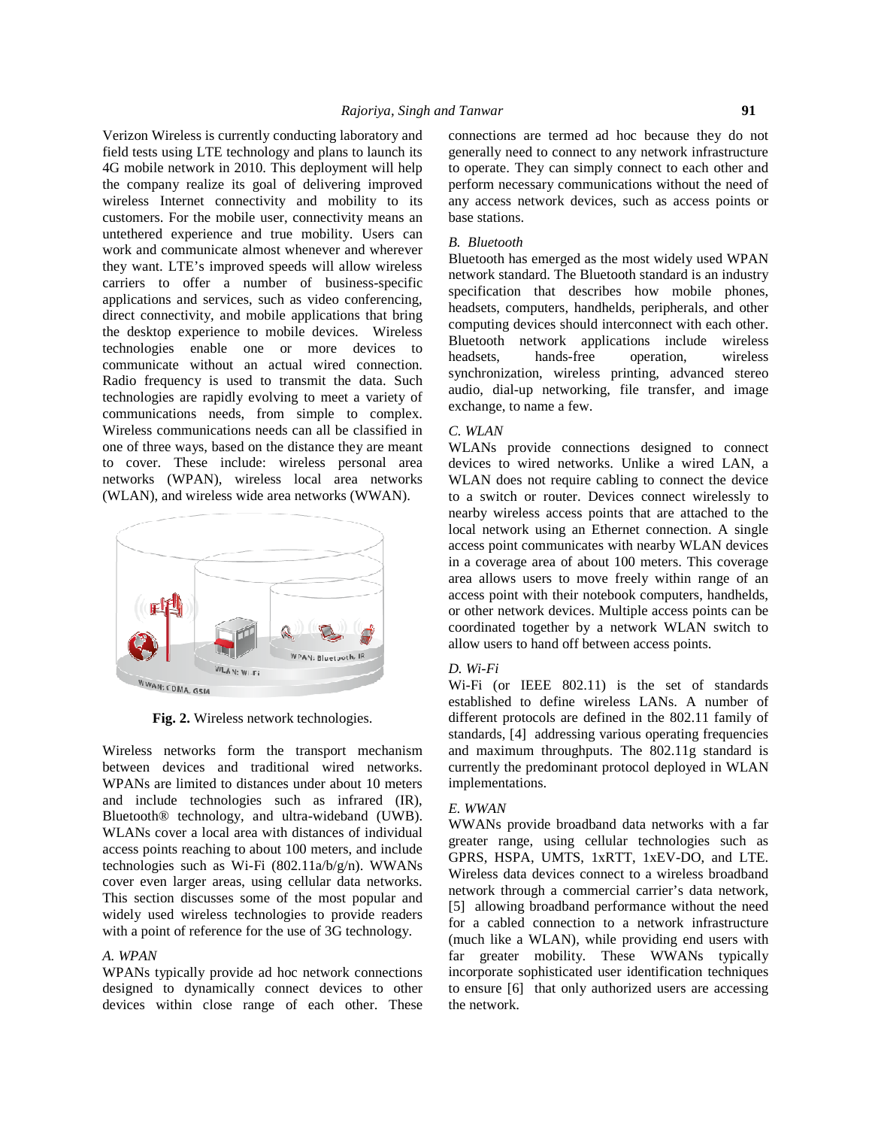Verizon Wireless is currently conducting laboratory and field tests using LTE technology and plans to launch its 4G mobile network in 2010. This deployment will help the company realize its goal of delivering improved wireless Internet connectivity and mobility to its customers. For the mobile user, connectivity means an untethered experience and true mobility. Users can work and communicate almost whenever and wherever they want. LTE's improved speeds will allow wireless carriers to offer a number of business-specific applications and services, such as video conferencing, direct connectivity, and mobile applications that bring the desktop experience to mobile devices. Wireless technologies enable one or more devices to **headsets**, communicate without an actual wired connection. Radio frequency is used to transmit the data. Such technologies are rapidly evolving to meet a variety of communications needs, from simple to complex. Wireless communications needs can all be classified in one of three ways, based on the distance they are meant to cover. These include: wireless personal area networks (WPAN), wireless local area networks (WLAN), and wireless wide area networks (WWAN).



**Fig. 2.** Wireless network technologies.

Wireless networks form the transport mechanism between devices and traditional wired networks. WPANs are limited to distances under about 10 meters and include technologies such as infrared (IR), Bluetooth® technology, and ultra-wideband (UWB). WLANs cover a local area with distances of individual access points reaching to about 100 meters, and include technologies such as Wi-Fi (802.11a/b/g/n). WWANs cover even larger areas, using cellular data networks. This section discusses some of the most popular and widely used wireless technologies to provide readers with a point of reference for the use of 3G technology.

# *A. WPAN*

WPANs typically provide ad hoc network connections designed to dynamically connect devices to other devices within close range of each other. These

connections are termed ad hoc because they do not generally need to connect to any network infrastructure to operate. They can simply connect to each other and perform necessary communications without the need of any access network devices, such as access points or base stations.

#### *B. Bluetooth*

Bluetooth has emerged as the most widely used WPAN network standard. The Bluetooth standard is an industry specification that describes how mobile phones, headsets, computers, handhelds, peripherals, and other computing devices should interconnect with each other. Bluetooth network applications include wireless hands-free operation, wireless synchronization, wireless printing, advanced stereo audio, dial-up networking, file transfer, and image exchange, to name a few.

# *C. WLAN*

WLANs provide connections designed to connect devices to wired networks. Unlike a wired LAN, a WLAN does not require cabling to connect the device to a switch or router. Devices connect wirelessly to nearby wireless access points that are attached to the local network using an Ethernet connection. A single access point communicates with nearby WLAN devices in a coverage area of about 100 meters. This coverage area allows users to move freely within range of an access point with their notebook computers, handhelds, or other network devices. Multiple access points can be coordinated together by a network WLAN switch to allow users to hand off between access points.

### *D. Wi-Fi*

Wi-Fi (or IEEE 802.11) is the set of standards established to define wireless LANs. A number of different protocols are defined in the 802.11 family of standards, [4] addressing various operating frequencies and maximum throughputs. The 802.11g standard is currently the predominant protocol deployed in WLAN implementations.

# *E. WWAN*

WWANs provide broadband data networks with a far greater range, using cellular technologies such as GPRS, HSPA, UMTS, 1xRTT, 1xEV-DO, and LTE. Wireless data devices connect to a wireless broadband network through a commercial carrier's data network, [5] allowing broadband performance without the need for a cabled connection to a network infrastructure (much like a WLAN), while providing end users with far greater mobility. These WWANs typically incorporate sophisticated user identification techniques to ensure [6] that only authorized users are accessing the network.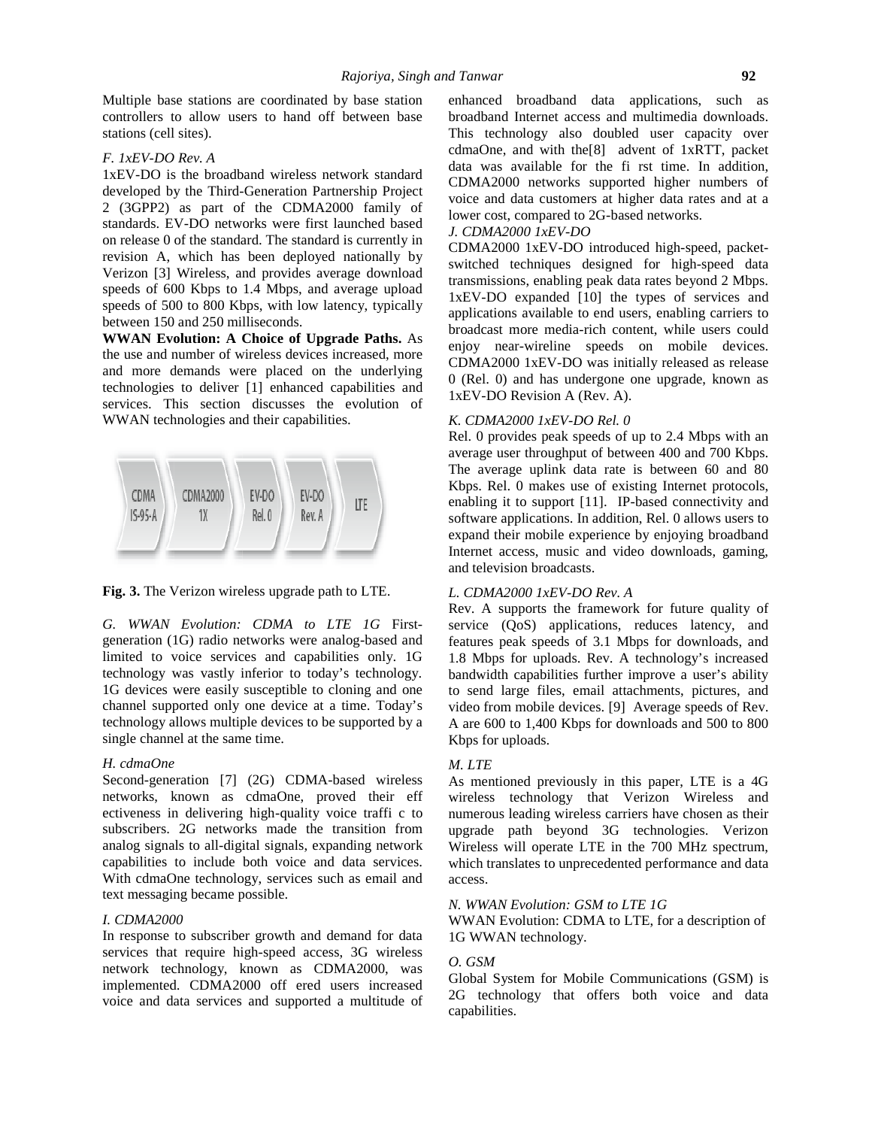Multiple base stations are coordinated by base station controllers to allow users to hand off between base stations (cell sites).

# *F. 1xEV-DO Rev. A*

1xEV-DO is the broadband wireless network standard developed by the Third-Generation Partnership Project 2 (3GPP2) as part of the CDMA2000 family of standards. EV-DO networks were first launched based on release 0 of the standard. The standard is currently in revision A, which has been deployed nationally by Verizon [3] Wireless, and provides average download speeds of 600 Kbps to 1.4 Mbps, and average upload speeds of 500 to 800 Kbps, with low latency, typically between 150 and 250 milliseconds.

**WWAN Evolution: A Choice of Upgrade Paths.** As the use and number of wireless devices increased, more and more demands were placed on the underlying technologies to deliver [1] enhanced capabilities and services. This section discusses the evolution of WWAN technologies and their capabilities.



**Fig. 3.** The Verizon wireless upgrade path to LTE.

*G. WWAN Evolution: CDMA to LTE 1G* First generation (1G) radio networks were analog-based and limited to voice services and capabilities only. 1G technology was vastly inferior to today's technology. 1G devices were easily susceptible to cloning and one channel supported only one device at a time. Today's technology allows multiple devices to be supported by a single channel at the same time.

### *H. cdmaOne*

Second-generation [7] (2G) CDMA-based wireless networks, known as cdmaOne, proved their eff ectiveness in delivering high-quality voice traffi c to subscribers. 2G networks made the transition from analog signals to all-digital signals, expanding network capabilities to include both voice and data services. With cdmaOne technology, services such as email and text messaging became possible.

### *I. CDMA2000*

In response to subscriber growth and demand for data services that require high-speed access, 3G wireless network technology, known as CDMA2000, was implemented. CDMA2000 off ered users increased voice and data services and supported a multitude of enhanced broadband data applications, such as broadband Internet access and multimedia downloads. This technology also doubled user capacity over cdmaOne, and with the[8] advent of 1xRTT, packet data was available for the fi rst time. In addition, CDMA2000 networks supported higher numbers of voice and data customers at higher data rates and at a lower cost, compared to 2G-based networks.

# *J. CDMA2000 1xEV-DO*

CDMA2000 1xEV-DO introduced high-speed, packet switched techniques designed for high-speed data transmissions, enabling peak data rates beyond 2 Mbps. 1xEV-DO expanded [10] the types of services and applications available to end users, enabling carriers to broadcast more media-rich content, while users could enjoy near-wireline speeds on mobile devices. CDMA2000 1xEV-DO was initially released as release 0 (Rel. 0) and has undergone one upgrade, known as 1xEV-DO Revision A (Rev. A).

# *K. CDMA2000 1xEV-DO Rel. 0*

Rel. 0 provides peak speeds of up to 2.4 Mbps with an average user throughput of between 400 and 700 Kbps. The average uplink data rate is between 60 and 80 Kbps. Rel. 0 makes use of existing Internet protocols, enabling it to support [11]. IP-based connectivity and software applications. In addition, Rel. 0 allows users to expand their mobile experience by enjoying broadband Internet access, music and video downloads, gaming, and television broadcasts.

### *L. CDMA2000 1xEV-DO Rev. A*

Rev. A supports the framework for future quality of service (QoS) applications, reduces latency, and features peak speeds of 3.1 Mbps for downloads, and 1.8 Mbps for uploads. Rev. A technology's increased bandwidth capabilities further improve a user's ability to send large files, email attachments, pictures, and video from mobile devices. [9] Average speeds of Rev. A are 600 to 1,400 Kbps for downloads and 500 to 800 Kbps for uploads.

#### *M. LTE*

As mentioned previously in this paper, LTE is a 4G wireless technology that Verizon Wireless and numerous leading wireless carriers have chosen as their upgrade path beyond 3G technologies. Verizon Wireless will operate LTE in the 700 MHz spectrum, which translates to unprecedented performance and data access.

# *N. WWAN Evolution: GSM to LTE 1G*

WWAN Evolution: CDMA to LTE, for a description of 1G WWAN technology.

# *O. GSM*

Global System for Mobile Communications (GSM) is 2G technology that offers both voice and data capabilities.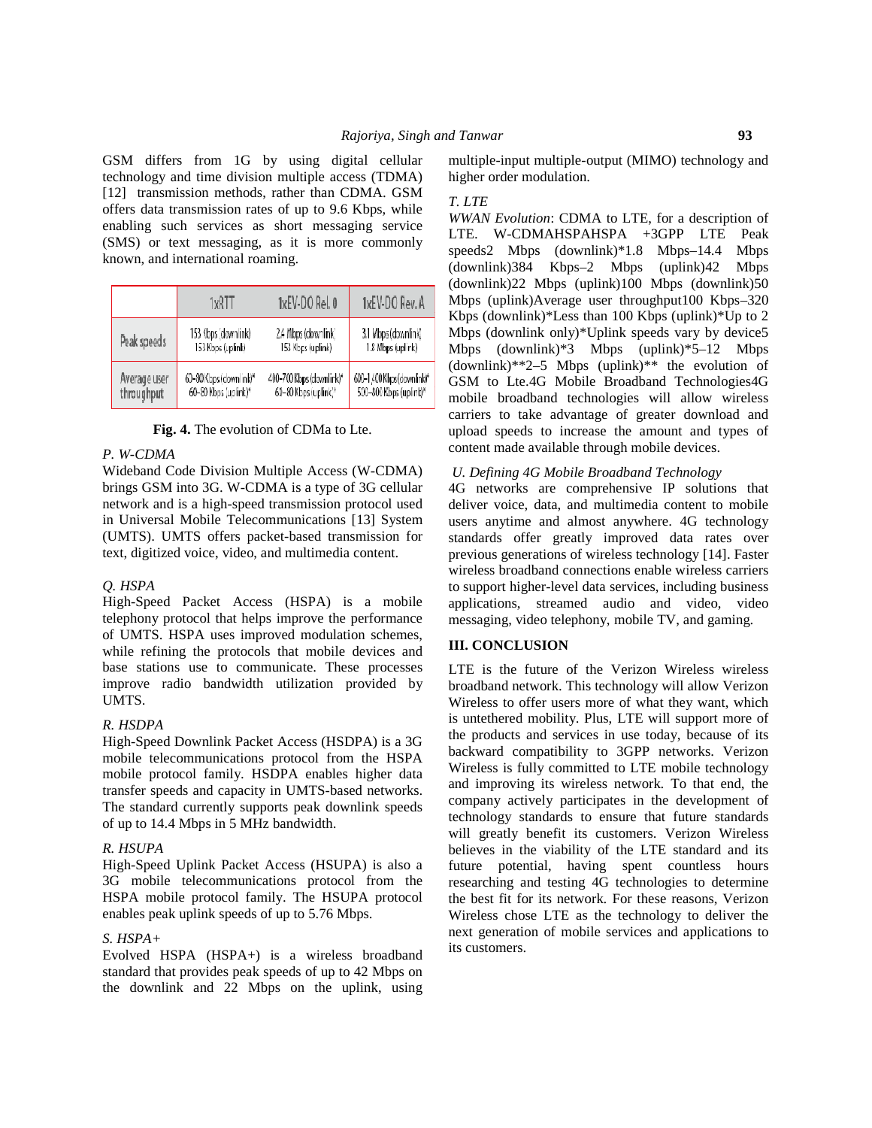GSM differs from 1G by using digital cellular technology and time division multiple access (TDMA) [12] transmission methods, rather than CDMA. GSM offers data transmission rates of up to 9.6 Kbps, while enabling such services as short messaging service (SMS) or text messaging, as it is more commonly known, and international roaming.

|  |                            | 1xRTT                                          | 1xEV-DO Rel. 0                                   | 1xEV-DO Rev. A                                       |
|--|----------------------------|------------------------------------------------|--------------------------------------------------|------------------------------------------------------|
|  | Peak speeds                | 153 Kbps (downlink)<br>153 Kbos (uplink)       | 2.4 Mbps (downlink)<br>153 Klops (uplink)        | 3.1 Mbps (downlink)<br>1.8 Mbps (uplink)             |
|  | Average user<br>throughput | 60-80 Kbps (downlink)*<br>60-80 Kbps (up ink)* | 400-700 Kbps (downlink)*<br>60-80 Kbps (uplink)* | 600-1/400 Kbps (downlink)*<br>500-800 Kbps (uplink)* |

**Fig. 4.** The evolution of CDMa to Lte.

# *P. W-CDMA*

Wideband Code Division Multiple Access (W-CDMA) brings GSM into 3G. W-CDMA is a type of 3G cellular network and is a high-speed transmission protocol used in Universal Mobile Telecommunications [13] System (UMTS). UMTS offers packet-based transmission for text, digitized voice, video, and multimedia content.

### *Q. HSPA*

High-Speed Packet Access (HSPA) is a mobile telephony protocol that helps improve the performance of UMTS. HSPA uses improved modulation schemes, while refining the protocols that mobile devices and base stations use to communicate. These processes improve radio bandwidth utilization provided by UMTS.

### *R. HSDPA*

High-Speed Downlink Packet Access (HSDPA) is a 3G mobile telecommunications protocol from the HSPA mobile protocol family. HSDPA enables higher data transfer speeds and capacity in UMTS-based networks. The standard currently supports peak downlink speeds of up to 14.4 Mbps in 5 MHz bandwidth.

### *R. HSUPA*

High-Speed Uplink Packet Access (HSUPA) is also a 3G mobile telecommunications protocol from the HSPA mobile protocol family. The HSUPA protocol enables peak uplink speeds of up to 5.76 Mbps.

### *S. HSPA+*

Evolved HSPA (HSPA+) is a wireless broadband standard that provides peak speeds of up to 42 Mbps on the downlink and 22 Mbps on the uplink, using multiple-input multiple-output (MIMO) technology and higher order modulation.

#### *T. LTE*

*WWAN Evolution*: CDMA to LTE, for a description of LTE. W-CDMAHSPAHSPA +3GPP LTE Peak speeds2 Mbps (downlink)\*1.8 Mbps–14.4 Mbps (downlink)384 Kbps–2 Mbps (uplink)42 Mbps (downlink)22 Mbps (uplink)100 Mbps (downlink)50 Mbps (uplink)Average user throughput100 Kbps–320 Kbps (downlink)\*Less than 100 Kbps (uplink)\*Up to 2 Mbps (downlink only)\*Uplink speeds vary by device5 Mbps (downlink)\*3 Mbps (uplink)\*5–12 Mbps (downlink)\*\*2–5 Mbps (uplink)\*\* the evolution of GSM to Lte.4G Mobile Broadband Technologies4G mobile broadband technologies will allow wireless carriers to take advantage of greater download and upload speeds to increase the amount and types of content made available through mobile devices.

# *U. Defining 4G Mobile Broadband Technology*

4G networks are comprehensive IP solutions that deliver voice, data, and multimedia content to mobile users anytime and almost anywhere. 4G technology standards offer greatly improved data rates over previous generations of wireless technology [14]. Faster wireless broadband connections enable wireless carriers to support higher-level data services, including business applications, streamed audio and video, video messaging, video telephony, mobile TV, and gaming.

# **III. CONCLUSION**

LTE is the future of the Verizon Wireless wireless broadband network. This technology will allow Verizon Wireless to offer users more of what they want, which is untethered mobility. Plus, LTE will support more of the products and services in use today, because of its backward compatibility to 3GPP networks. Verizon Wireless is fully committed to LTE mobile technology and improving its wireless network. To that end, the company actively participates in the development of technology standards to ensure that future standards will greatly benefit its customers. Verizon Wireless believes in the viability of the LTE standard and its future potential, having spent countless hours researching and testing 4G technologies to determine the best fit for its network. For these reasons, Verizon Wireless chose LTE as the technology to deliver the next generation of mobile services and applications to its customers.